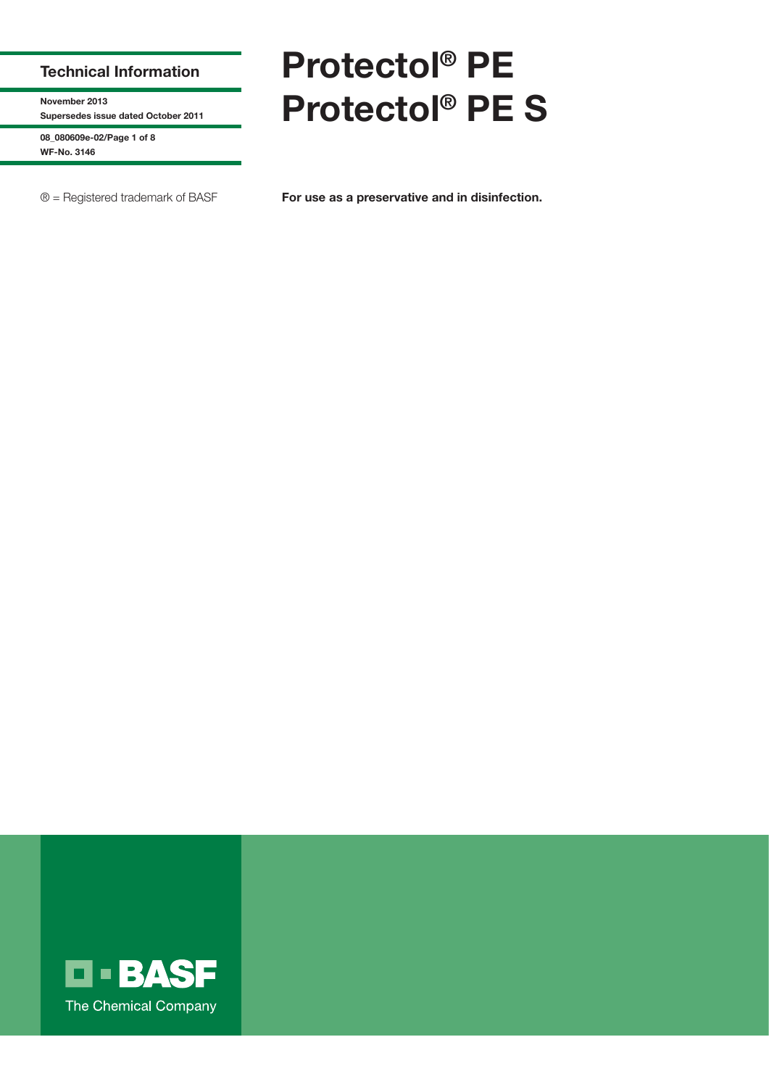## **Technical Information**

**November 2013 Supersedes issue dated October 2011**

**08\_080609e-02/Page 1 of 8 WF-No. 3146**

# **Protectol® PE Protectol® PE S**

® = Registered trademark of BASF **For use as a preservative and in disinfection.**

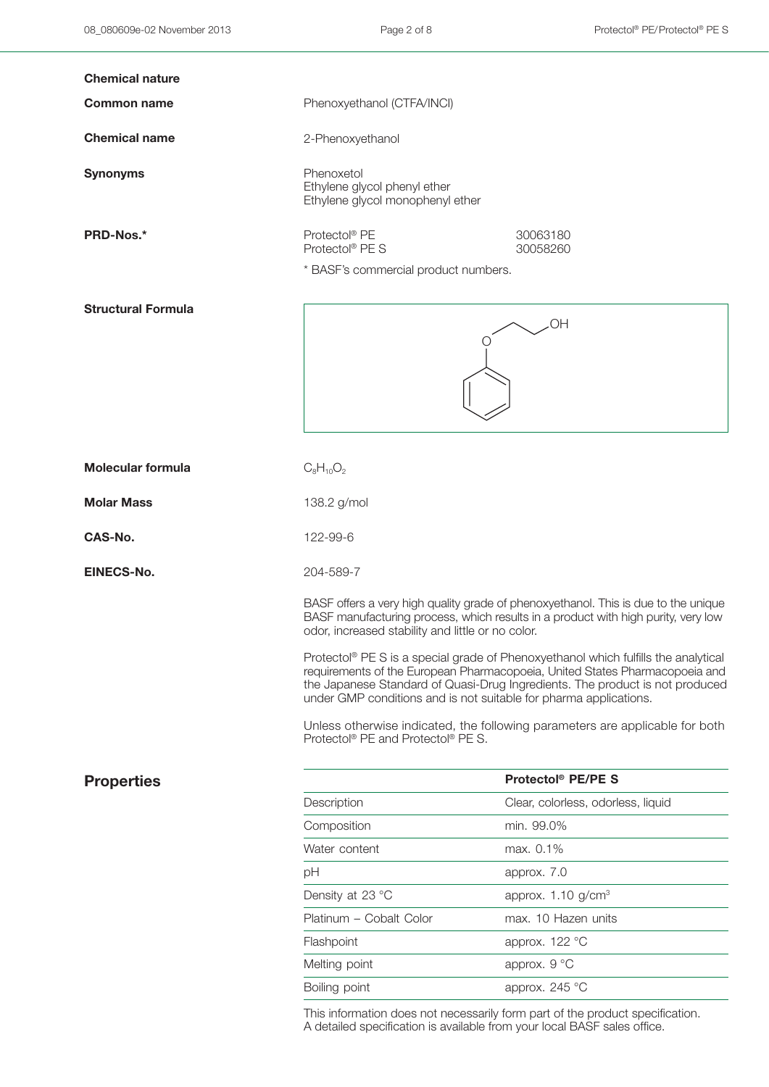| <b>Chemical nature</b>    |                                                                                                                                                                                                                                                                                                                                                                                                                                                                                                                                                        |                                    |
|---------------------------|--------------------------------------------------------------------------------------------------------------------------------------------------------------------------------------------------------------------------------------------------------------------------------------------------------------------------------------------------------------------------------------------------------------------------------------------------------------------------------------------------------------------------------------------------------|------------------------------------|
| <b>Common name</b>        | Phenoxyethanol (CTFA/INCI)                                                                                                                                                                                                                                                                                                                                                                                                                                                                                                                             |                                    |
| <b>Chemical name</b>      | 2-Phenoxyethanol                                                                                                                                                                                                                                                                                                                                                                                                                                                                                                                                       |                                    |
| <b>Synonyms</b>           | Phenoxetol<br>Ethylene glycol phenyl ether<br>Ethylene glycol monophenyl ether                                                                                                                                                                                                                                                                                                                                                                                                                                                                         |                                    |
| PRD-Nos.*                 | Protectol® PE<br>Protectol <sup>®</sup> PE S<br>* BASF's commercial product numbers.                                                                                                                                                                                                                                                                                                                                                                                                                                                                   | 30063180<br>30058260               |
| <b>Structural Formula</b> |                                                                                                                                                                                                                                                                                                                                                                                                                                                                                                                                                        | <b>OH</b>                          |
| <b>Molecular formula</b>  | $C_8H_{10}O_2$                                                                                                                                                                                                                                                                                                                                                                                                                                                                                                                                         |                                    |
| <b>Molar Mass</b>         | 138.2 g/mol                                                                                                                                                                                                                                                                                                                                                                                                                                                                                                                                            |                                    |
| CAS-No.                   | 122-99-6                                                                                                                                                                                                                                                                                                                                                                                                                                                                                                                                               |                                    |
| EINECS-No.                | 204-589-7                                                                                                                                                                                                                                                                                                                                                                                                                                                                                                                                              |                                    |
|                           | BASF offers a very high quality grade of phenoxyethanol. This is due to the unique<br>BASF manufacturing process, which results in a product with high purity, very low<br>odor, increased stability and little or no color.<br>Protectol® PE S is a special grade of Phenoxyethanol which fulfills the analytical<br>requirements of the European Pharmacopoeia, United States Pharmacopoeia and<br>the Japanese Standard of Quasi-Drug Ingredients. The product is not produced<br>under GMP conditions and is not suitable for pharma applications. |                                    |
|                           | Unless otherwise indicated, the following parameters are applicable for both<br>Protectol <sup>®</sup> PE and Protectol <sup>®</sup> PE S.                                                                                                                                                                                                                                                                                                                                                                                                             |                                    |
| <b>Properties</b>         |                                                                                                                                                                                                                                                                                                                                                                                                                                                                                                                                                        | Protectol <sup>®</sup> PE/PE S     |
|                           | Description                                                                                                                                                                                                                                                                                                                                                                                                                                                                                                                                            | Clear, colorless, odorless, liquid |
|                           | Composition                                                                                                                                                                                                                                                                                                                                                                                                                                                                                                                                            | min. 99.0%                         |
|                           | Water content                                                                                                                                                                                                                                                                                                                                                                                                                                                                                                                                          | max. 0.1%                          |
|                           | pH                                                                                                                                                                                                                                                                                                                                                                                                                                                                                                                                                     | approx. 7.0                        |
|                           | Density at 23 °C                                                                                                                                                                                                                                                                                                                                                                                                                                                                                                                                       | approx. $1.10$ g/cm <sup>3</sup>   |
|                           | Platinum - Cobalt Color                                                                                                                                                                                                                                                                                                                                                                                                                                                                                                                                | max. 10 Hazen units                |
|                           | Flashpoint                                                                                                                                                                                                                                                                                                                                                                                                                                                                                                                                             | approx. 122 °C                     |
|                           | Melting point                                                                                                                                                                                                                                                                                                                                                                                                                                                                                                                                          | approx. 9 °C                       |
|                           | Boiling point                                                                                                                                                                                                                                                                                                                                                                                                                                                                                                                                          | approx. 245 °C                     |
|                           |                                                                                                                                                                                                                                                                                                                                                                                                                                                                                                                                                        |                                    |

This information does not necessarily form part of the product specification. A detailed specification is available from your local BASF sales office.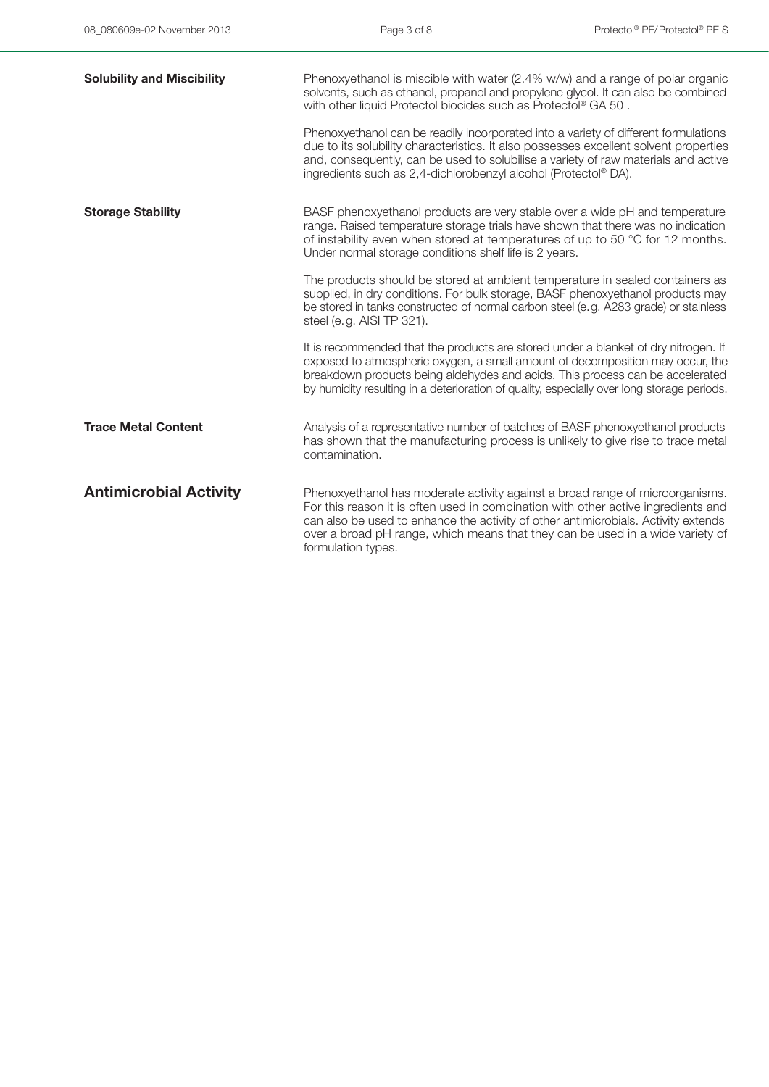| <b>Solubility and Miscibility</b> | Phenoxyethanol is miscible with water (2.4% w/w) and a range of polar organic<br>solvents, such as ethanol, propanol and propylene glycol. It can also be combined<br>with other liquid Protectol biocides such as Protectol® GA 50.                                                                                                                            |
|-----------------------------------|-----------------------------------------------------------------------------------------------------------------------------------------------------------------------------------------------------------------------------------------------------------------------------------------------------------------------------------------------------------------|
|                                   | Phenoxyethanol can be readily incorporated into a variety of different formulations<br>due to its solubility characteristics. It also possesses excellent solvent properties<br>and, consequently, can be used to solubilise a variety of raw materials and active<br>ingredients such as 2,4-dichlorobenzyl alcohol (Protectol® DA).                           |
| <b>Storage Stability</b>          | BASF phenoxyethanol products are very stable over a wide pH and temperature<br>range. Raised temperature storage trials have shown that there was no indication<br>of instability even when stored at temperatures of up to 50 °C for 12 months.<br>Under normal storage conditions shelf life is 2 years.                                                      |
|                                   | The products should be stored at ambient temperature in sealed containers as<br>supplied, in dry conditions. For bulk storage, BASF phenoxyethanol products may<br>be stored in tanks constructed of normal carbon steel (e.g. A283 grade) or stainless<br>steel (e.g. AISI TP 321).                                                                            |
|                                   | It is recommended that the products are stored under a blanket of dry nitrogen. If<br>exposed to atmospheric oxygen, a small amount of decomposition may occur, the<br>breakdown products being aldehydes and acids. This process can be accelerated<br>by humidity resulting in a deterioration of quality, especially over long storage periods.              |
| <b>Trace Metal Content</b>        | Analysis of a representative number of batches of BASF phenoxyethanol products<br>has shown that the manufacturing process is unlikely to give rise to trace metal<br>contamination.                                                                                                                                                                            |
| <b>Antimicrobial Activity</b>     | Phenoxyethanol has moderate activity against a broad range of microorganisms.<br>For this reason it is often used in combination with other active ingredients and<br>can also be used to enhance the activity of other antimicrobials. Activity extends<br>over a broad pH range, which means that they can be used in a wide variety of<br>formulation types. |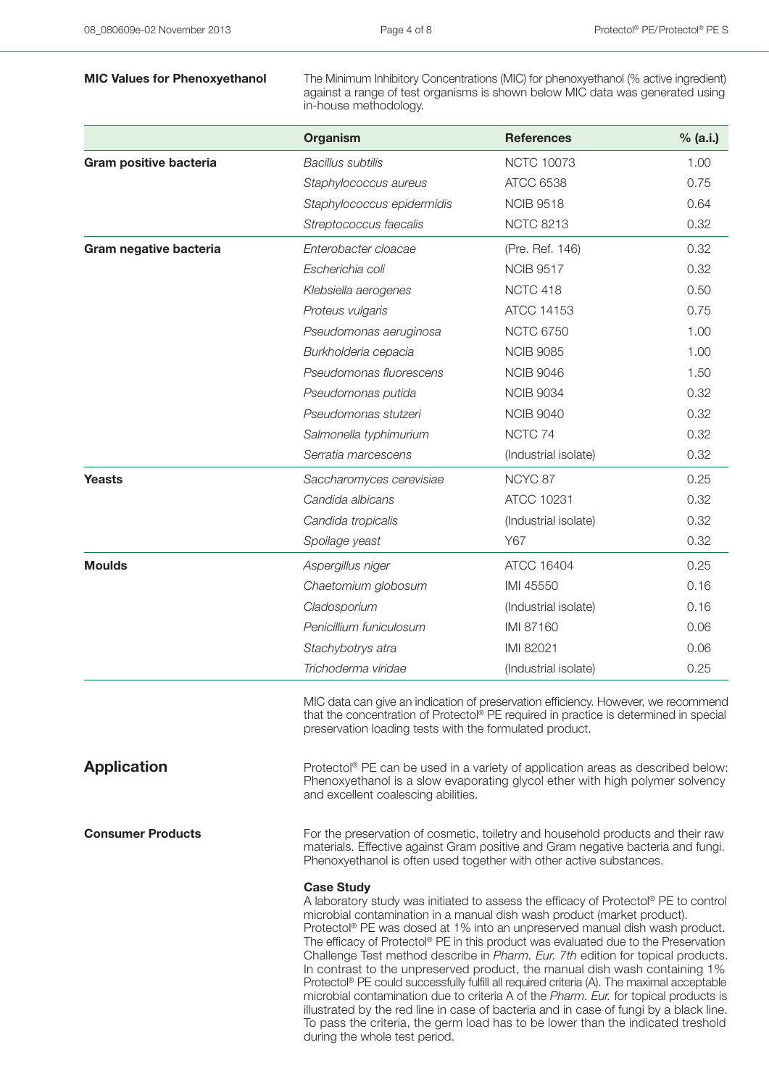**MIC Values for Phenoxyethanol** The Minimum Inhibitory Concentrations (MIC) for phenoxyethanol (% active ingredient) against a range of test organisms is shown below MIC data was generated using in-house methodology.

|                          | Organism                                                                                                                                                                                                                                                                                                                                                                                                                                                                                                                                                                                                                                                                                                                                                                                                                                                                                     | <b>References</b>                                                                                                                                                                                                                          | % (a.i.) |  |
|--------------------------|----------------------------------------------------------------------------------------------------------------------------------------------------------------------------------------------------------------------------------------------------------------------------------------------------------------------------------------------------------------------------------------------------------------------------------------------------------------------------------------------------------------------------------------------------------------------------------------------------------------------------------------------------------------------------------------------------------------------------------------------------------------------------------------------------------------------------------------------------------------------------------------------|--------------------------------------------------------------------------------------------------------------------------------------------------------------------------------------------------------------------------------------------|----------|--|
| Gram positive bacteria   | <b>Bacillus subtilis</b>                                                                                                                                                                                                                                                                                                                                                                                                                                                                                                                                                                                                                                                                                                                                                                                                                                                                     | <b>NCTC 10073</b>                                                                                                                                                                                                                          | 1.00     |  |
|                          | Staphylococcus aureus                                                                                                                                                                                                                                                                                                                                                                                                                                                                                                                                                                                                                                                                                                                                                                                                                                                                        | <b>ATCC 6538</b>                                                                                                                                                                                                                           | 0.75     |  |
|                          | Staphylococcus epidermidis                                                                                                                                                                                                                                                                                                                                                                                                                                                                                                                                                                                                                                                                                                                                                                                                                                                                   | <b>NCIB 9518</b>                                                                                                                                                                                                                           | 0.64     |  |
|                          | Streptococcus faecalis                                                                                                                                                                                                                                                                                                                                                                                                                                                                                                                                                                                                                                                                                                                                                                                                                                                                       | <b>NCTC 8213</b>                                                                                                                                                                                                                           | 0.32     |  |
| Gram negative bacteria   | Enterobacter cloacae                                                                                                                                                                                                                                                                                                                                                                                                                                                                                                                                                                                                                                                                                                                                                                                                                                                                         | (Pre. Ref. 146)                                                                                                                                                                                                                            | 0.32     |  |
|                          | Escherichia coli                                                                                                                                                                                                                                                                                                                                                                                                                                                                                                                                                                                                                                                                                                                                                                                                                                                                             | <b>NCIB 9517</b>                                                                                                                                                                                                                           | 0.32     |  |
|                          | Klebsiella aerogenes                                                                                                                                                                                                                                                                                                                                                                                                                                                                                                                                                                                                                                                                                                                                                                                                                                                                         | NCTC 418                                                                                                                                                                                                                                   | 0.50     |  |
|                          | Proteus vulgaris                                                                                                                                                                                                                                                                                                                                                                                                                                                                                                                                                                                                                                                                                                                                                                                                                                                                             | ATCC 14153                                                                                                                                                                                                                                 | 0.75     |  |
|                          | Pseudomonas aeruginosa                                                                                                                                                                                                                                                                                                                                                                                                                                                                                                                                                                                                                                                                                                                                                                                                                                                                       | <b>NCTC 6750</b>                                                                                                                                                                                                                           | 1.00     |  |
|                          | Burkholderia cepacia                                                                                                                                                                                                                                                                                                                                                                                                                                                                                                                                                                                                                                                                                                                                                                                                                                                                         | <b>NCIB 9085</b>                                                                                                                                                                                                                           | 1.00     |  |
|                          | Pseudomonas fluorescens                                                                                                                                                                                                                                                                                                                                                                                                                                                                                                                                                                                                                                                                                                                                                                                                                                                                      | <b>NCIB 9046</b>                                                                                                                                                                                                                           | 1.50     |  |
|                          | Pseudomonas putida                                                                                                                                                                                                                                                                                                                                                                                                                                                                                                                                                                                                                                                                                                                                                                                                                                                                           | <b>NCIB 9034</b>                                                                                                                                                                                                                           | 0.32     |  |
|                          | Pseudomonas stutzeri                                                                                                                                                                                                                                                                                                                                                                                                                                                                                                                                                                                                                                                                                                                                                                                                                                                                         | <b>NCIB 9040</b>                                                                                                                                                                                                                           | 0.32     |  |
|                          | Salmonella typhimurium                                                                                                                                                                                                                                                                                                                                                                                                                                                                                                                                                                                                                                                                                                                                                                                                                                                                       | NCTC 74                                                                                                                                                                                                                                    | 0.32     |  |
|                          | Serratia marcescens                                                                                                                                                                                                                                                                                                                                                                                                                                                                                                                                                                                                                                                                                                                                                                                                                                                                          | (Industrial isolate)                                                                                                                                                                                                                       | 0.32     |  |
| <b>Yeasts</b>            | Saccharomyces cerevisiae                                                                                                                                                                                                                                                                                                                                                                                                                                                                                                                                                                                                                                                                                                                                                                                                                                                                     | NCYC 87                                                                                                                                                                                                                                    | 0.25     |  |
|                          | Candida albicans                                                                                                                                                                                                                                                                                                                                                                                                                                                                                                                                                                                                                                                                                                                                                                                                                                                                             | ATCC 10231                                                                                                                                                                                                                                 | 0.32     |  |
|                          | Candida tropicalis                                                                                                                                                                                                                                                                                                                                                                                                                                                                                                                                                                                                                                                                                                                                                                                                                                                                           | (Industrial isolate)                                                                                                                                                                                                                       | 0.32     |  |
|                          | Spoilage yeast                                                                                                                                                                                                                                                                                                                                                                                                                                                                                                                                                                                                                                                                                                                                                                                                                                                                               | Y67                                                                                                                                                                                                                                        | 0.32     |  |
| <b>Moulds</b>            | Aspergillus niger                                                                                                                                                                                                                                                                                                                                                                                                                                                                                                                                                                                                                                                                                                                                                                                                                                                                            | ATCC 16404                                                                                                                                                                                                                                 | 0.25     |  |
|                          | Chaetomium globosum                                                                                                                                                                                                                                                                                                                                                                                                                                                                                                                                                                                                                                                                                                                                                                                                                                                                          | IMI 45550                                                                                                                                                                                                                                  | 0.16     |  |
|                          | Cladosporium                                                                                                                                                                                                                                                                                                                                                                                                                                                                                                                                                                                                                                                                                                                                                                                                                                                                                 | (Industrial isolate)                                                                                                                                                                                                                       | 0.16     |  |
|                          | Penicillium funiculosum                                                                                                                                                                                                                                                                                                                                                                                                                                                                                                                                                                                                                                                                                                                                                                                                                                                                      | IMI 87160                                                                                                                                                                                                                                  | 0.06     |  |
|                          | Stachybotrys atra                                                                                                                                                                                                                                                                                                                                                                                                                                                                                                                                                                                                                                                                                                                                                                                                                                                                            | IMI 82021                                                                                                                                                                                                                                  | 0.06     |  |
|                          | Trichoderma viridae                                                                                                                                                                                                                                                                                                                                                                                                                                                                                                                                                                                                                                                                                                                                                                                                                                                                          | (Industrial isolate)                                                                                                                                                                                                                       | 0.25     |  |
|                          | MIC data can give an indication of preservation efficiency. However, we recommend<br>that the concentration of Protectol® PE required in practice is determined in special<br>preservation loading tests with the formulated product.                                                                                                                                                                                                                                                                                                                                                                                                                                                                                                                                                                                                                                                        |                                                                                                                                                                                                                                            |          |  |
| <b>Application</b>       |                                                                                                                                                                                                                                                                                                                                                                                                                                                                                                                                                                                                                                                                                                                                                                                                                                                                                              | Protectol® PE can be used in a variety of application areas as described below:<br>Phenoxyethanol is a slow evaporating glycol ether with high polymer solvency<br>and excellent coalescing abilities.                                     |          |  |
| <b>Consumer Products</b> |                                                                                                                                                                                                                                                                                                                                                                                                                                                                                                                                                                                                                                                                                                                                                                                                                                                                                              | For the preservation of cosmetic, toiletry and household products and their raw<br>materials. Effective against Gram positive and Gram negative bacteria and fungi.<br>Phenoxyethanol is often used together with other active substances. |          |  |
|                          | <b>Case Study</b><br>A laboratory study was initiated to assess the efficacy of Protectol® PE to control<br>microbial contamination in a manual dish wash product (market product).<br>Protectol® PE was dosed at 1% into an unpreserved manual dish wash product.<br>The efficacy of Protectol® PE in this product was evaluated due to the Preservation<br>Challenge Test method describe in Pharm. Eur. 7th edition for topical products.<br>In contrast to the unpreserved product, the manual dish wash containing 1%<br>Protectol® PE could successfully fulfill all required criteria (A). The maximal acceptable<br>microbial contamination due to criteria A of the Pharm. Eur. for topical products is<br>illustrated by the red line in case of bacteria and in case of fungi by a black line.<br>To pass the criteria, the germ load has to be lower than the indicated treshold |                                                                                                                                                                                                                                            |          |  |

during the whole test period.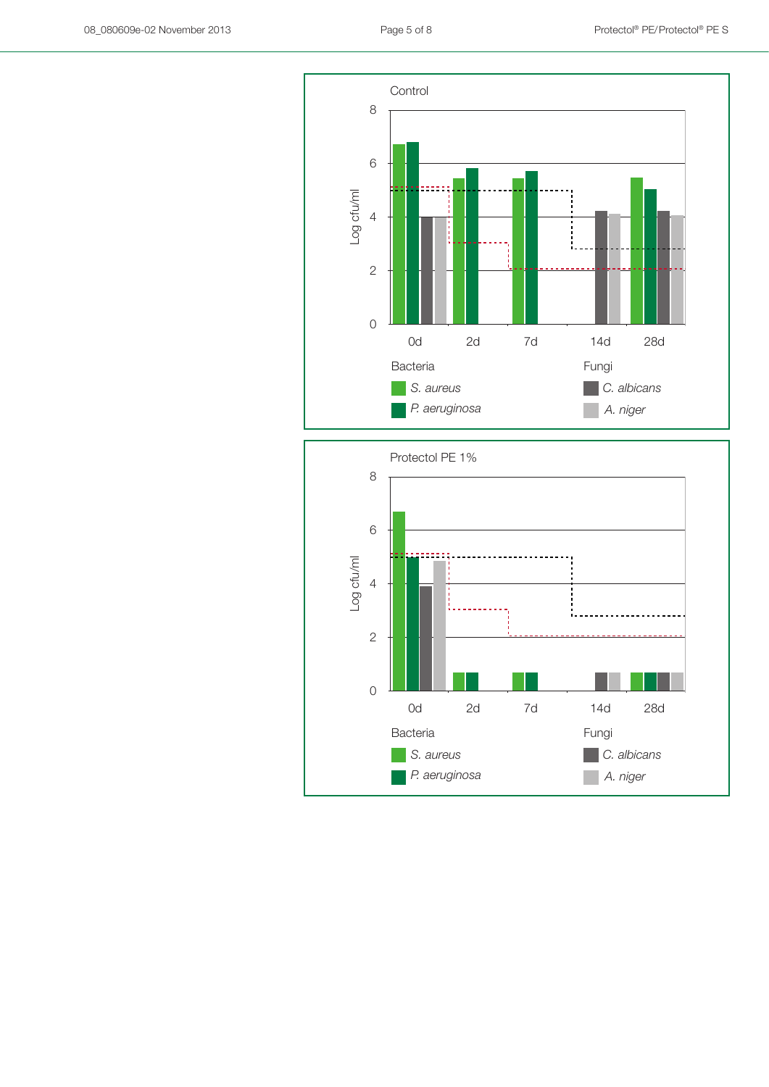

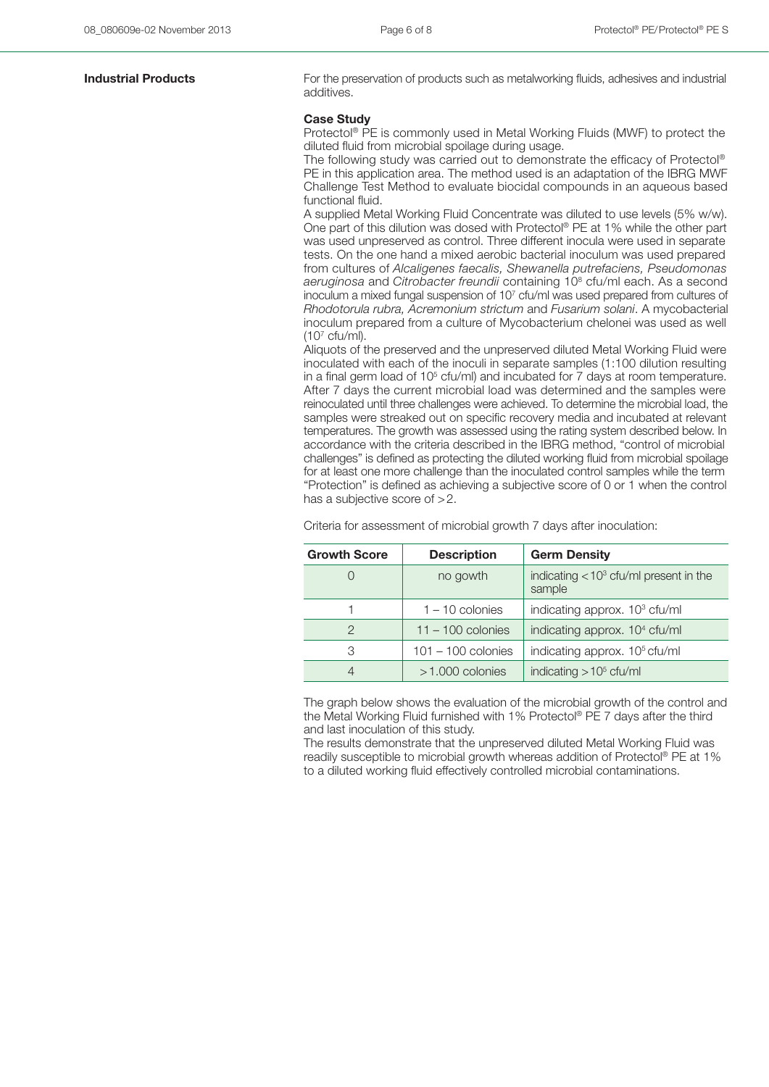**Industrial Products** For the preservation of products such as metalworking fluids, adhesives and industrial additives.

### **Case Study**

Protectol® PE is commonly used in Metal Working Fluids (MWF) to protect the diluted fluid from microbial spoilage during usage.

The following study was carried out to demonstrate the efficacy of Protectol® PE in this application area. The method used is an adaptation of the IBRG MWF Challenge Test Method to evaluate biocidal compounds in an aqueous based functional fluid.

A supplied Metal Working Fluid Concentrate was diluted to use levels (5% w/w). One part of this dilution was dosed with Protectol® PE at 1% while the other part was used unpreserved as control. Three different inocula were used in separate tests. On the one hand a mixed aerobic bacterial inoculum was used prepared from cultures of *Alcaligenes faecalis, Shewanella putrefaciens, Pseudomonas aeruginosa* and *Citrobacter freundii* containing 108 cfu/ml each. As a second inoculum a mixed fungal suspension of 10<sup>7</sup> cfu/ml was used prepared from cultures of *Rhodotorula rubra, Acremonium strictum* and *Fusarium solani*. A mycobacterial inoculum prepared from a culture of Mycobacterium chelonei was used as well (107 cfu/ml).

Aliquots of the preserved and the unpreserved diluted Metal Working Fluid were inoculated with each of the inoculi in separate samples (1:100 dilution resulting in a final germ load of  $10<sup>5</sup>$  cfu/ml) and incubated for 7 days at room temperature. After 7 days the current microbial load was determined and the samples were reinoculated until three challenges were achieved. To determine the microbial load, the samples were streaked out on specific recovery media and incubated at relevant temperatures. The growth was assessed using the rating system described below. In accordance with the criteria described in the IBRG method, "control of microbial challenges" is defined as protecting the diluted working fluid from microbial spoilage for at least one more challenge than the inoculated control samples while the term "Protection" is defined as achieving a subjective score of 0 or 1 when the control has a subjective score of >2.

Criteria for assessment of microbial growth 7 days after inoculation:

| <b>Growth Score</b> | <b>Description</b>   | <b>Germ Density</b>                                   |
|---------------------|----------------------|-------------------------------------------------------|
|                     | no gowth             | indicating $<$ 10 $3$ cfu/ml present in the<br>sample |
|                     | $1 - 10$ colonies    | indicating approx. 10 <sup>3</sup> cfu/ml             |
| 2                   | $11 - 100$ colonies  | indicating approx. 10 <sup>4</sup> cfu/ml             |
| 3                   | $101 - 100$ colonies | indicating approx. 10 <sup>5</sup> cfu/ml             |
| 4                   | $>1.000$ colonies    | indicating $> 105$ cfu/ml                             |

The graph below shows the evaluation of the microbial growth of the control and the Metal Working Fluid furnished with 1% Protectol® PE 7 days after the third and last inoculation of this study.

The results demonstrate that the unpreserved diluted Metal Working Fluid was readily susceptible to microbial growth whereas addition of Protectol® PE at 1% to a diluted working fluid effectively controlled microbial contaminations.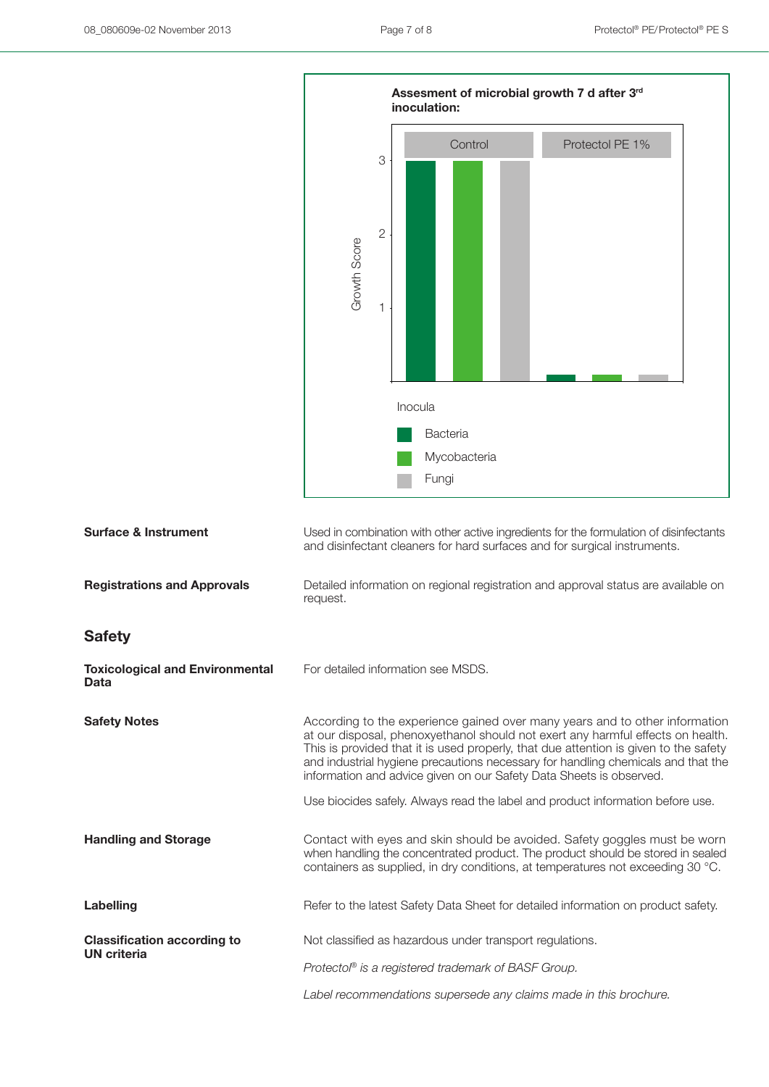

| <b>Surface &amp; Instrument</b>                          | Used in combination with other active ingredients for the formulation of disinfectants<br>and disinfectant cleaners for hard surfaces and for surgical instruments.                                                                                                                                                                                                                                               |
|----------------------------------------------------------|-------------------------------------------------------------------------------------------------------------------------------------------------------------------------------------------------------------------------------------------------------------------------------------------------------------------------------------------------------------------------------------------------------------------|
| <b>Registrations and Approvals</b>                       | Detailed information on regional registration and approval status are available on<br>request.                                                                                                                                                                                                                                                                                                                    |
| <b>Safety</b>                                            |                                                                                                                                                                                                                                                                                                                                                                                                                   |
| <b>Toxicological and Environmental</b><br>Data           | For detailed information see MSDS.                                                                                                                                                                                                                                                                                                                                                                                |
| <b>Safety Notes</b>                                      | According to the experience gained over many years and to other information<br>at our disposal, phenoxyethanol should not exert any harmful effects on health.<br>This is provided that it is used properly, that due attention is given to the safety<br>and industrial hygiene precautions necessary for handling chemicals and that the<br>information and advice given on our Safety Data Sheets is observed. |
|                                                          | Use biocides safely. Always read the label and product information before use.                                                                                                                                                                                                                                                                                                                                    |
| <b>Handling and Storage</b>                              | Contact with eyes and skin should be avoided. Safety goggles must be worn<br>when handling the concentrated product. The product should be stored in sealed<br>containers as supplied, in dry conditions, at temperatures not exceeding 30 °C.                                                                                                                                                                    |
| Labelling                                                | Refer to the latest Safety Data Sheet for detailed information on product safety.                                                                                                                                                                                                                                                                                                                                 |
| <b>Classification according to</b><br><b>UN</b> criteria | Not classified as hazardous under transport regulations.                                                                                                                                                                                                                                                                                                                                                          |
|                                                          | Protectol® is a registered trademark of BASF Group.                                                                                                                                                                                                                                                                                                                                                               |
|                                                          | Label recommendations supersede any claims made in this brochure.                                                                                                                                                                                                                                                                                                                                                 |